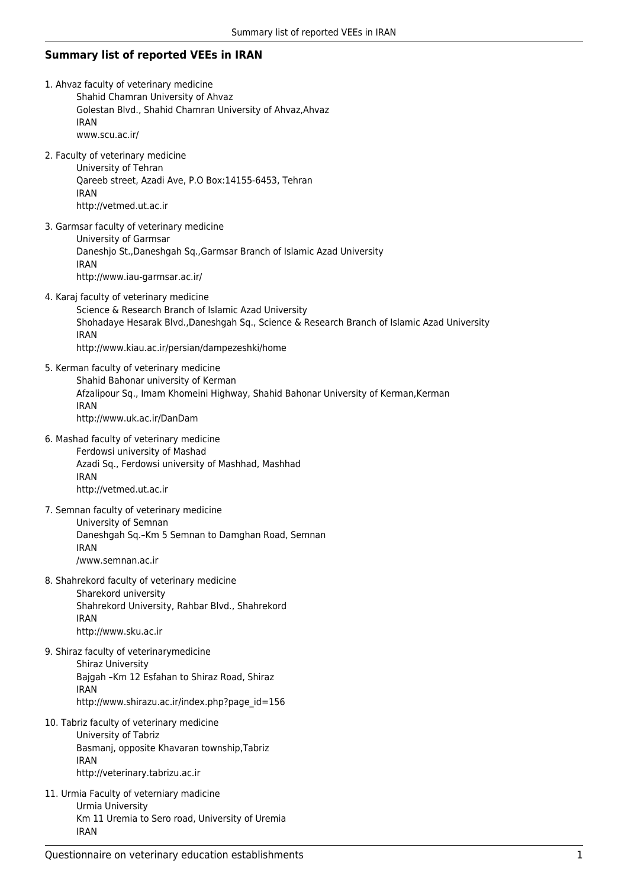## **Summary list of reported VEEs in IRAN**

- 1. Ahvaz faculty of veterinary medicine Shahid Chamran University of Ahvaz Golestan Blvd., Shahid Chamran University of Ahvaz,Ahvaz IRAN www.scu.ac.ir/
- 2. Faculty of veterinary medicine

University of Tehran Qareeb street, Azadi Ave, P.O Box:14155-6453, Tehran IRAN http://vetmed.ut.ac.ir

- 3. Garmsar faculty of veterinary medicine University of Garmsar Daneshjo St.,Daneshgah Sq.,Garmsar Branch of Islamic Azad University IRAN http://www.iau-garmsar.ac.ir/
- 4. Karaj faculty of veterinary medicine

Science & Research Branch of Islamic Azad University Shohadaye Hesarak Blvd.,Daneshgah Sq., Science & Research Branch of Islamic Azad University IRAN http://www.kiau.ac.ir/persian/dampezeshki/home

- 5. Kerman faculty of veterinary medicine Shahid Bahonar university of Kerman Afzalipour Sq., Imam Khomeini Highway, Shahid Bahonar University of Kerman,Kerman IRAN http://www.uk.ac.ir/DanDam
- 6. Mashad faculty of veterinary medicine Ferdowsi university of Mashad Azadi Sq., Ferdowsi university of Mashhad, Mashhad IRAN http://vetmed.ut.ac.ir
- 7. Semnan faculty of veterinary medicine University of Semnan Daneshgah Sq.–Km 5 Semnan to Damghan Road, Semnan IRAN /www.semnan.ac.ir
- 8. Shahrekord faculty of veterinary medicine Sharekord university Shahrekord University, Rahbar Blvd., Shahrekord IRAN http://www.sku.ac.ir
- 9. Shiraz faculty of veterinarymedicine Shiraz University Bajgah –Km 12 Esfahan to Shiraz Road, Shiraz IRAN http://www.shirazu.ac.ir/index.php?page\_id=156
- 10. Tabriz faculty of veterinary medicine University of Tabriz Basmanj, opposite Khavaran township,Tabriz IRAN http://veterinary.tabrizu.ac.ir
- 11. Urmia Faculty of veterniary madicine Urmia University Km 11 Uremia to Sero road, University of Uremia IRAN